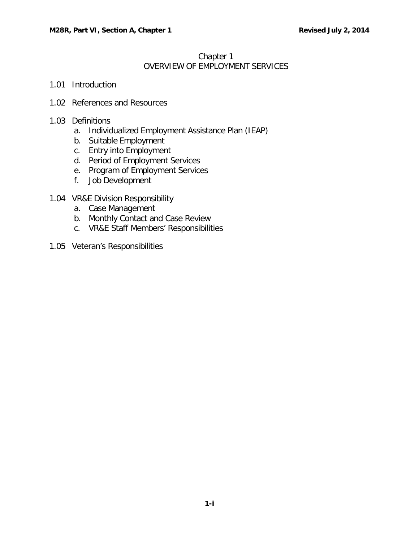# [Chapter](#page-0-0) 1 OVERVIEW OF [EMPLOYMENT](#page-0-0) SERVICES

- <span id="page-0-0"></span>1.01 [Introduction](#page-1-0)
- 1.02 [References](#page-1-1) and Resources

## 1.03 [Definitions](#page-2-0)

- a. [Individualized](#page-2-1) Employment Assistance Plan (IEAP)
- b. Suitable [Employment](#page-2-2)
- c. Entry into [Employment](#page-2-3)
- d. Period of [Employment](#page-2-4) Services
- e. Program of [Employment](#page-3-0) Services
- f. Job [Development](#page-3-1)
- 1.04 VR&E Division [Responsibility](#page-4-0)
	- a. Case [Management](#page-4-1)
	- b. [Monthly](#page-4-2) Contact and Case Review
	- c. VR&E Staff Members' [Responsibilities](#page-4-3)
- 1.05 [Veteran's Responsibilities](#page-5-0)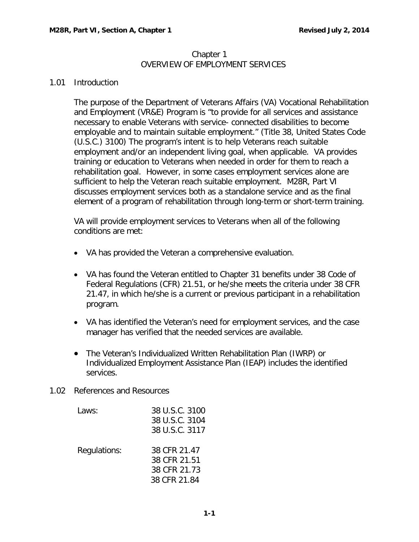#### Chapter 1 OVERVIEW OF EMPLOYMENT SERVICES

#### <span id="page-1-0"></span>1.01 Introduction

The purpose of the Department of Veterans Affairs (VA) Vocational Rehabilitation and Employment (VR&E) Program is "to provide for all services and assistance necessary to enable Veterans with service- connected disabilities to become employable and to maintain suitable employment." (Title 38, United States Code (U.S.C.) 3100) The program's intent is to help Veterans reach suitable employment and/or an independent living goal, when applicable. VA provides training or education to Veterans when needed in order for them to reach a rehabilitation goal. However, in some cases employment services alone are sufficient to help the Veteran reach suitable employment. M28R, Part VI discusses employment services both as a standalone service and as the final element of a program of rehabilitation through long-term or short-term training.

VA will provide employment services to Veterans when all of the following conditions are met:

- VA has provided the Veteran a comprehensive evaluation.
- VA has found the Veteran entitled to Chapter 31 benefits under 38 Code of Federal Regulations (CFR) 21.51, or he/she meets the criteria under 38 CFR 21.47, in which he/she is a current or previous participant in a rehabilitation program.
- VA has identified the Veteran's need for employment services, and the case manager has verified that the needed services are available.
- The Veteran's Individualized Written Rehabilitation Plan (IWRP) or Individualized Employment Assistance Plan (IEAP) includes the identified services.
- <span id="page-1-1"></span>1.02 References and Resources

| Laws:        | 38 U.S.C. 3100<br>38 U.S.C. 3104<br>38 U.S.C. 3117           |
|--------------|--------------------------------------------------------------|
| Regulations: | 38 CFR 21.47<br>38 CFR 21.51<br>38 CFR 21.73<br>38 CFR 21.84 |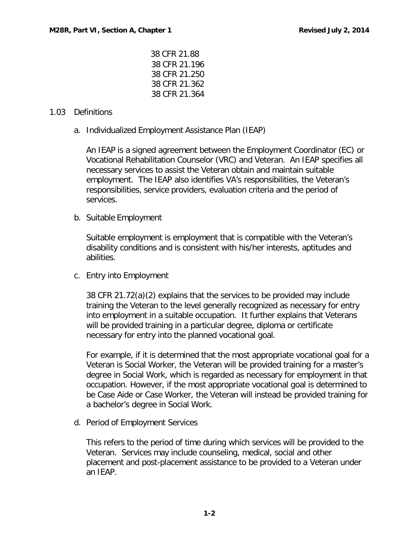CFR 21.88 CFR 21.196 CFR 21.250 CFR 21.362 CFR 21.364

## <span id="page-2-1"></span><span id="page-2-0"></span>1.03 Definitions

a. Individualized Employment Assistance Plan (IEAP)

An IEAP is a signed agreement between the Employment Coordinator (EC) or Vocational Rehabilitation Counselor (VRC) and Veteran. An IEAP specifies all necessary services to assist the Veteran obtain and maintain suitable employment. The IEAP also identifies VA's responsibilities, the Veteran's responsibilities, service providers, evaluation criteria and the period of services.

<span id="page-2-2"></span>b. Suitable Employment

Suitable employment is employment that is compatible with the Veteran's disability conditions and is consistent with his/her interests, aptitudes and abilities.

<span id="page-2-3"></span>c. Entry into Employment

38 CFR 21.72(a)(2) explains that the services to be provided may include training the Veteran to the level generally recognized as necessary for entry into employment in a suitable occupation. It further explains that Veterans will be provided training in a particular degree, diploma or certificate necessary for entry into the planned vocational goal.

For example, if it is determined that the most appropriate vocational goal for a Veteran is Social Worker, the Veteran will be provided training for a master's degree in Social Work, which is regarded as necessary for employment in that occupation. However, if the most appropriate vocational goal is determined to be Case Aide or Case Worker, the Veteran will instead be provided training for a bachelor's degree in Social Work.

<span id="page-2-4"></span>d. Period of Employment Services

This refers to the period of time during which services will be provided to the Veteran. Services may include counseling, medical, social and other placement and post-placement assistance to be provided to a Veteran under an IEAP.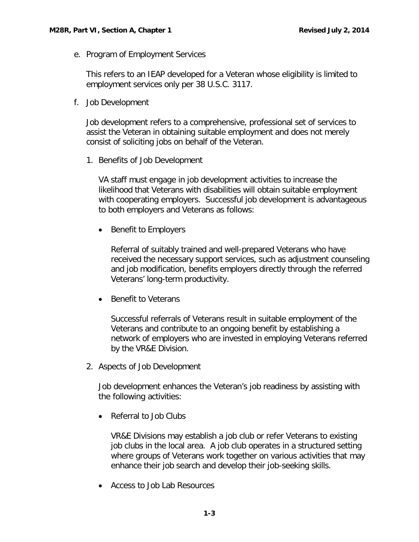<span id="page-3-0"></span>e. Program of Employment Services

This refers to an IEAP developed for a Veteran whose eligibility is limited to employment services only per 38 U.S.C. 3117.

<span id="page-3-1"></span>f. Job Development

Job development refers to a comprehensive, professional set of services to assist the Veteran in obtaining suitable employment and does not merely consist of soliciting jobs on behalf of the Veteran.

1. Benefits of Job Development

VA staff must engage in job development activities to increase the likelihood that Veterans with disabilities will obtain suitable employment with cooperating employers. Successful job development is advantageous to both employers and Veterans as follows:

• Benefit to Employers

Referral of suitably trained and well-prepared Veterans who have received the necessary support services, such as adjustment counseling and job modification, benefits employers directly through the referred Veterans' long-term productivity.

• Benefit to Veterans

Successful referrals of Veterans result in suitable employment of the Veterans and contribute to an ongoing benefit by establishing a network of employers who are invested in employing Veterans referred by the VR&E Division.

2. Aspects of Job Development

Job development enhances the Veteran's job readiness by assisting with the following activities:

• Referral to Job Clubs

VR&E Divisions may establish a job club or refer Veterans to existing job clubs in the local area. A job club operates in a structured setting where groups of Veterans work together on various activities that may enhance their job search and develop their job-seeking skills.

• Access to Job Lab Resources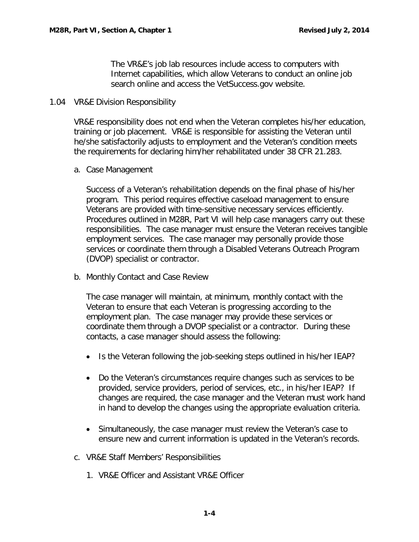The VR&E's job lab resources include access to computers with Internet capabilities, which allow Veterans to conduct an online job search online and access the VetSuccess.gov website.

### <span id="page-4-0"></span>1.04 VR&E Division Responsibility

VR&E responsibility does not end when the Veteran completes his/her education, training or job placement. VR&E is responsible for assisting the Veteran until he/she satisfactorily adjusts to employment and the Veteran's condition meets the requirements for declaring him/her rehabilitated under 38 CFR 21.283.

<span id="page-4-1"></span>a. Case Management

Success of a Veteran's rehabilitation depends on the final phase of his/her program. This period requires effective caseload management to ensure Veterans are provided with time-sensitive necessary services efficiently. Procedures outlined in M28R, Part VI will help case managers carry out these responsibilities. The case manager must ensure the Veteran receives tangible employment services. The case manager may personally provide those services or coordinate them through a Disabled Veterans Outreach Program (DVOP) specialist or contractor.

<span id="page-4-2"></span>b. Monthly Contact and Case Review

The case manager will maintain, at minimum, monthly contact with the Veteran to ensure that each Veteran is progressing according to the employment plan. The case manager may provide these services or coordinate them through a DVOP specialist or a contractor. During these contacts, a case manager should assess the following:

- Is the Veteran following the job-seeking steps outlined in his/her IEAP?
- Do the Veteran's circumstances require changes such as services to be provided, service providers, period of services, etc., in his/her IEAP? If changes are required, the case manager and the Veteran must work hand in hand to develop the changes using the appropriate evaluation criteria.
- Simultaneously, the case manager must review the Veteran's case to ensure new and current information is updated in the Veteran's records.
- <span id="page-4-3"></span>c. VR&E Staff Members' Responsibilities
	- 1. VR&E Officer and Assistant VR&E Officer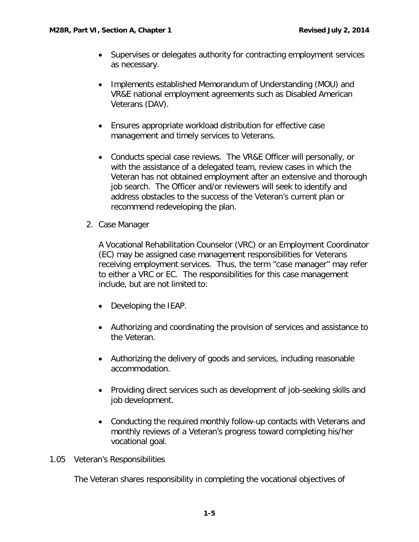- Supervises or delegates authority for contracting employment services as necessary.
- Implements established Memorandum of Understanding (MOU) and VR&E national employment agreements such as Disabled American Veterans (DAV).
- Ensures appropriate workload distribution for effective case management and timely services to Veterans.
- Conducts special case reviews. The VR&E Officer will personally, or with the assistance of a delegated team, review cases in which the Veteran has not obtained employment after an extensive and thorough job search. The Officer and/or reviewers will seek to identify and address obstacles to the success of the Veteran's current plan or recommend redeveloping the plan.
- 2. Case Manager

A Vocational Rehabilitation Counselor (VRC) or an Employment Coordinator (EC) may be assigned case management responsibilities for Veterans receiving employment services. Thus, the term "case manager" may refer to either a VRC or EC. The responsibilities for this case management include, but are not limited to:

- Developing the IEAP.
- Authorizing and coordinating the provision of services and assistance to the Veteran.
- Authorizing the delivery of goods and services, including reasonable accommodation.
- Providing direct services such as development of job-seeking skills and job development.
- Conducting the required monthly follow-up contacts with Veterans and monthly reviews of a Veteran's progress toward completing his/her vocational goal.

# <span id="page-5-0"></span>1.05 Veteran's Responsibilities

The Veteran shares responsibility in completing the vocational objectives of